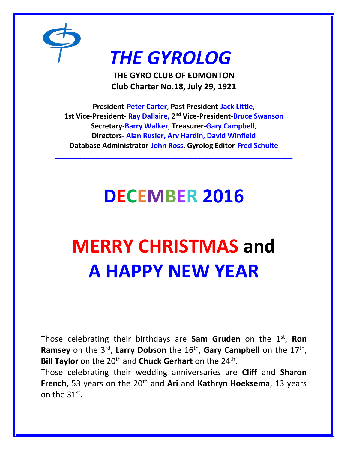

### *THE GYROLOG*

**THE GYRO CLUB OF EDMONTON Club Charter No.18, July 29, 1921**

**President**-**Peter Carter**, **Past President**-**Jack Little**, **1st Vice-President- Ray Dallaire, 2 nd Vice-President-Bruce Swanson Secretary**-**Barry Walker**, **Treasurer**-**Gary Campbell**, **Directors- Alan Rusler, Arv Hardin, David Winfield Database Administrator**-**John Ross**, **Gyrolog Editor**-**Fred Schulte**

**\_\_\_\_\_\_\_\_\_\_\_\_\_\_\_\_\_\_\_\_\_\_\_\_\_\_\_\_\_\_\_\_\_\_\_\_\_\_\_\_\_\_\_\_\_\_\_\_\_\_\_\_\_\_\_\_\_\_\_\_**

## **DECEMBER 2016**

# **MERRY CHRISTMAS and A HAPPY NEW YEAR**

Those celebrating their birthdays are Sam Gruden on the 1<sup>st</sup>, Ron Ramsey on the 3<sup>rd</sup>, Larry Dobson the 16<sup>th</sup>, Gary Campbell on the 17<sup>th</sup>, Bill Taylor on the 20<sup>th</sup> and Chuck Gerhart on the 24<sup>th</sup>.

Those celebrating their wedding anniversaries are **Cliff** and **Sharon French,** 53 years on the 20<sup>th</sup> and **Ari** and **Kathryn Hoeksema**, 13 years on the  $31<sup>st</sup>$ .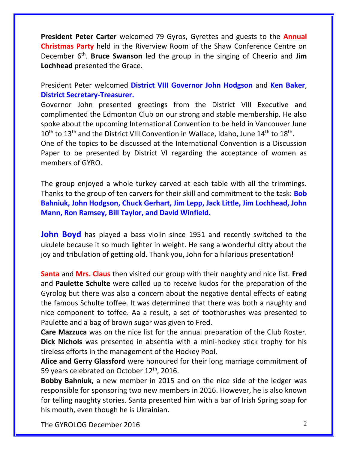**President Peter Carter** welcomed 79 Gyros, Gyrettes and guests to the **Annual Christmas Party** held in the Riverview Room of the Shaw Conference Centre on December 6<sup>th</sup>. Bruce Swanson led the group in the singing of Cheerio and Jim **Lochhead** presented the Grace.

President Peter welcomed **District VIII Governor John Hodgson** and **Ken Baker**, **District Secretary-Treasurer.**

Governor John presented greetings from the District VIII Executive and complimented the Edmonton Club on our strong and stable membership. He also spoke about the upcoming International Convention to be held in Vancouver June  $10^{\text{th}}$  to  $13^{\text{th}}$  and the District VIII Convention in Wallace, Idaho, June  $14^{\text{th}}$  to  $18^{\text{th}}$ . One of the topics to be discussed at the International Convention is a Discussion Paper to be presented by District VI regarding the acceptance of women as members of GYRO.

The group enjoyed a whole turkey carved at each table with all the trimmings. Thanks to the group of ten carvers for their skill and commitment to the task: **Bob Bahniuk, John Hodgson, Chuck Gerhart, Jim Lepp, Jack Little, Jim Lochhead, John Mann, Ron Ramsey, Bill Taylor, and David Winfield.**

**John Boyd** has played a bass violin since 1951 and recently switched to the ukulele because it so much lighter in weight. He sang a wonderful ditty about the joy and tribulation of getting old. Thank you, John for a hilarious presentation!

**Santa** and **Mrs. Claus** then visited our group with their naughty and nice list. **Fred**  and **Paulette Schulte** were called up to receive kudos for the preparation of the Gyrolog but there was also a concern about the negative dental effects of eating the famous Schulte toffee. It was determined that there was both a naughty and nice component to toffee. Aa a result, a set of toothbrushes was presented to Paulette and a bag of brown sugar was given to Fred.

**Care Mazzuca** was on the nice list for the annual preparation of the Club Roster. **Dick Nichols** was presented in absentia with a mini-hockey stick trophy for his tireless efforts in the management of the Hockey Pool.

**Alice and Gerry Glassford** were honoured for their long marriage commitment of 59 years celebrated on October 12<sup>th</sup>, 2016.

**Bobby Bahniuk,** a new member in 2015 and on the nice side of the ledger was responsible for sponsoring two new members in 2016. However, he is also known for telling naughty stories. Santa presented him with a bar of Irish Spring soap for his mouth, even though he is Ukrainian.

The GYROLOG December 2016 **2016** 2016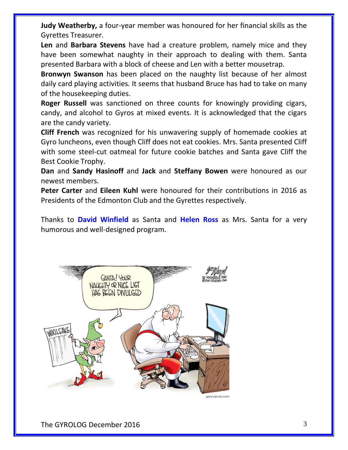**Judy Weatherby,** a four-year member was honoured for her financial skills as the Gyrettes Treasurer.

**Len** and **Barbara Stevens** have had a creature problem, namely mice and they have been somewhat naughty in their approach to dealing with them. Santa presented Barbara with a block of cheese and Len with a better mousetrap.

**Bronwyn Swanson** has been placed on the naughty list because of her almost daily card playing activities. It seems that husband Bruce has had to take on many of the housekeeping duties.

**Roger Russell** was sanctioned on three counts for knowingly providing cigars, candy, and alcohol to Gyros at mixed events. It is acknowledged that the cigars are the candy variety.

**Cliff French** was recognized for his unwavering supply of homemade cookies at Gyro luncheons, even though Cliff does not eat cookies. Mrs. Santa presented Cliff with some steel-cut oatmeal for future cookie batches and Santa gave Cliff the Best Cookie Trophy.

**Dan** and **Sandy Hasinoff** and **Jack** and **Steffany Bowen** were honoured as our newest members.

**Peter Carter** and **Eileen Kuhl** were honoured for their contributions in 2016 as Presidents of the Edmonton Club and the Gyrettes respectively.

Thanks to **David Winfield** as Santa and **Helen Ross** as Mrs. Santa for a very humorous and well-designed program.



The GYROLOG December 2016 3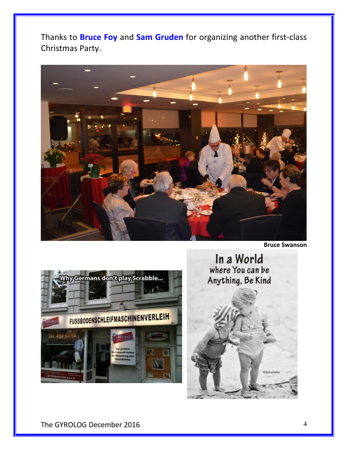Thanks to **Bruce Foy** and **Sam Gruden** for organizing another first-class Christmas Party.



**Bruce Swanson**



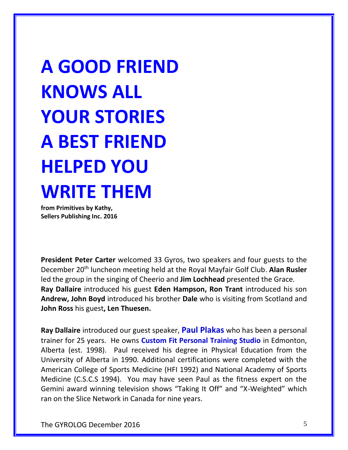**A GOOD FRIEND KNOWS ALL YOUR STORIES A BEST FRIEND HELPED YOU WRITE THEM** 

**from Primitives by Kathy, Sellers Publishing Inc. 2016**

**President Peter Carter** welcomed 33 Gyros, two speakers and four guests to the December 20th luncheon meeting held at the Royal Mayfair Golf Club. **Alan Rusler**  led the group in the singing of Cheerio and **Jim Lochhead** presented the Grace. **Ray Dallaire** introduced his guest **Eden Hampson, Ron Trant** introduced his son **Andrew, John Boyd** introduced his brother **Dale** who is visiting from Scotland and **John Ross** his guest**, Len Thuesen.**

**Ray Dallaire** introduced our guest speaker, **Paul Plakas** who has been a personal trainer for 25 years. He owns **Custom Fit Personal Training Studio** in Edmonton, Alberta (est. 1998). Paul received his degree in Physical Education from the University of Alberta in 1990. Additional certifications were completed with the American College of Sports Medicine (HFI 1992) and National Academy of Sports Medicine (C.S.C.S 1994). You may have seen Paul as the fitness expert on the Gemini award winning television shows "Taking It Off" and "X-Weighted" which ran on the Slice Network in Canada for nine years.

The GYROLOG December 2016 5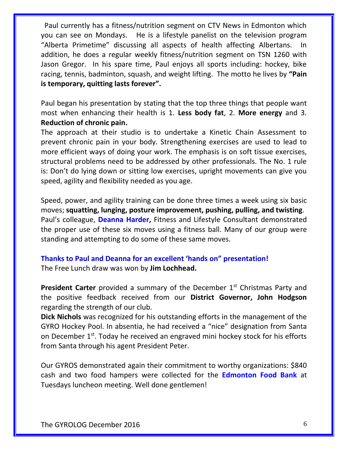Paul currently has a fitness/nutrition segment on CTV News in Edmonton which you can see on Mondays. He is a lifestyle panelist on the television program "Alberta Primetime" discussing all aspects of health affecting Albertans. In addition, he does a regular weekly fitness/nutrition segment on TSN 1260 with Jason Gregor. In his spare time, Paul enjoys all sports including: hockey, bike racing, tennis, badminton, squash, and weight lifting. The motto he lives by **"Pain is temporary, quitting lasts forever".**

Paul began his presentation by stating that the top three things that people want most when enhancing their health is 1. **Less body fat**, 2. **More energy** and 3. **Reduction of chronic pain.**

The approach at their studio is to undertake a Kinetic Chain Assessment to prevent chronic pain in your body. Strengthening exercises are used to lead to more efficient ways of doing your work. The emphasis is on soft tissue exercises, structural problems need to be addressed by other professionals. The No. 1 rule is: Don't do lying down or sitting low exercises, upright movements can give you speed, agility and flexibility needed as you age.

Speed, power, and agility training can be done three times a week using six basic moves; **squatting, lunging, posture improvement, pushing, pulling, and twisting**. Paul's colleague, **Deanna Harder,** Fitness and Lifestyle Consultant demonstrated the proper use of these six moves using a fitness ball. Many of our group were standing and attempting to do some of these same moves.

#### **Thanks to Paul and Deanna for an excellent 'hands on" presentation!** The Free Lunch draw was won by **Jim Lochhead.**

**President Carter** provided a summary of the December 1<sup>st</sup> Christmas Party and the positive feedback received from our **District Governor, John Hodgson** regarding the strength of our club.

**Dick Nichols** was recognized for his outstanding efforts in the management of the GYRO Hockey Pool. In absentia, he had received a "nice" designation from Santa on December 1<sup>st</sup>. Today he received an engraved mini hockey stock for his efforts from Santa through his agent President Peter.

Our GYROS demonstrated again their commitment to worthy organizations: \$840 cash and two food hampers were collected for the **Edmonton Food Bank** at Tuesdays luncheon meeting. Well done gentlemen!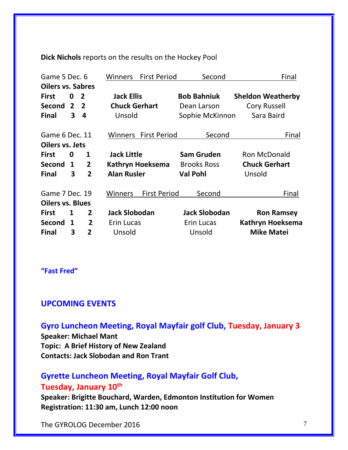**Dick Nichols** reports on the results on the Hockey Pool

| Game 5 Dec. 6            |   |                | <b>First Period</b><br>Winners | Second               | Final                    |
|--------------------------|---|----------------|--------------------------------|----------------------|--------------------------|
| <b>Oilers vs. Sabres</b> |   |                |                                |                      |                          |
| <b>First</b>             | 0 | $\overline{2}$ | <b>Jack Ellis</b>              | <b>Bob Bahniuk</b>   | <b>Sheldon Weatherby</b> |
| Second 2                 |   | $\overline{2}$ | <b>Chuck Gerhart</b>           | Dean Larson          | <b>Cory Russell</b>      |
| <b>Final</b>             | 3 | 4              | Unsold                         | Sophie McKinnon      | Sara Baird               |
| Game 6 Dec. 11           |   |                | <b>Winners</b> First Period    | Second               | Final                    |
| Oilers vs. Jets          |   |                |                                |                      |                          |
| <b>First</b>             | 0 | 1              | <b>Jack Little</b>             | <b>Sam Gruden</b>    | <b>Ron McDonald</b>      |
| Second 1                 |   | $\overline{2}$ | Kathryn Hoeksema               | <b>Brooks Ross</b>   | <b>Chuck Gerhart</b>     |
| <b>Final</b>             | 3 | 2              | <b>Alan Rusler</b>             | <b>Val Pohl</b>      | Unsold                   |
| Game 7 Dec. 19           |   |                | <b>First Period</b><br>Winners | Second               | Final                    |
| <b>Oilers vs. Blues</b>  |   |                |                                |                      |                          |
| <b>First</b>             | 1 | $\mathbf{2}$   | <b>Jack Slobodan</b>           | <b>Jack Slobodan</b> | <b>Ron Ramsey</b>        |
| Second                   | 1 | $\overline{2}$ | Erin Lucas                     | Erin Lucas           | <b>Kathryn Hoeksema</b>  |
| <b>Final</b>             | 3 | 2              | Unsold                         | Unsold               | <b>Mike Matei</b>        |

**"Fast Fred"**

#### **UPCOMING EVENTS**

**Gyro Luncheon Meeting, Royal Mayfair golf Club, Tuesday, January 3 Speaker: Michael Mant Topic: A Brief History of New Zealand Contacts: Jack Slobodan and Ron Trant**

#### **Gyrette Luncheon Meeting, Royal Mayfair Golf Club, Tuesday, January 10th**

**Speaker: Brigitte Bouchard, Warden, Edmonton Institution for Women Registration: 11:30 am, Lunch 12:00 noon**

The GYROLOG December 2016 **7** and 2016